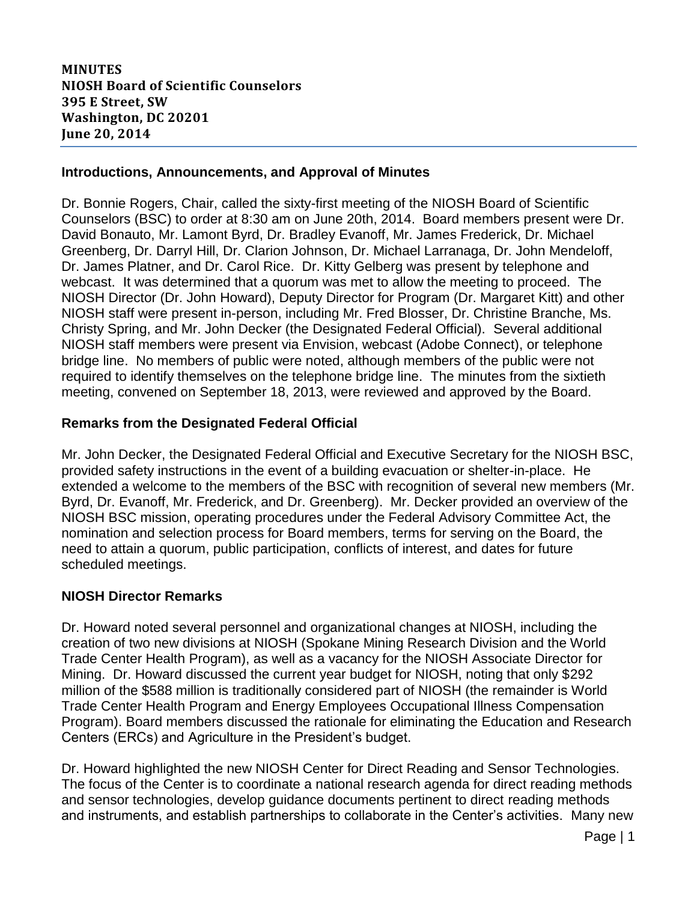# **MINUTES NIOSH Board of Scientific Counselors 395 E Street, SW Washington, DC 20201 June 20, 2014**

# **Introductions, Announcements, and Approval of Minutes**

Dr. Bonnie Rogers, Chair, called the sixty-first meeting of the NIOSH Board of Scientific Counselors (BSC) to order at 8:30 am on June 20th, 2014. Board members present were Dr. David Bonauto, Mr. Lamont Byrd, Dr. Bradley Evanoff, Mr. James Frederick, Dr. Michael Greenberg, Dr. Darryl Hill, Dr. Clarion Johnson, Dr. Michael Larranaga, Dr. John Mendeloff, Dr. James Platner, and Dr. Carol Rice. Dr. Kitty Gelberg was present by telephone and webcast. It was determined that a quorum was met to allow the meeting to proceed. The NIOSH Director (Dr. John Howard), Deputy Director for Program (Dr. Margaret Kitt) and other NIOSH staff were present in-person, including Mr. Fred Blosser, Dr. Christine Branche, Ms. Christy Spring, and Mr. John Decker (the Designated Federal Official). Several additional NIOSH staff members were present via Envision, webcast (Adobe Connect), or telephone bridge line. No members of public were noted, although members of the public were not required to identify themselves on the telephone bridge line. The minutes from the sixtieth meeting, convened on September 18, 2013, were reviewed and approved by the Board.

### **Remarks from the Designated Federal Official**

Mr. John Decker, the Designated Federal Official and Executive Secretary for the NIOSH BSC, provided safety instructions in the event of a building evacuation or shelter-in-place. He extended a welcome to the members of the BSC with recognition of several new members (Mr. Byrd, Dr. Evanoff, Mr. Frederick, and Dr. Greenberg). Mr. Decker provided an overview of the NIOSH BSC mission, operating procedures under the Federal Advisory Committee Act, the nomination and selection process for Board members, terms for serving on the Board, the need to attain a quorum, public participation, conflicts of interest, and dates for future scheduled meetings.

# **NIOSH Director Remarks**

Dr. Howard noted several personnel and organizational changes at NIOSH, including the creation of two new divisions at NIOSH (Spokane Mining Research Division and the World Trade Center Health Program), as well as a vacancy for the NIOSH Associate Director for Mining. Dr. Howard discussed the current year budget for NIOSH, noting that only \$292 million of the \$588 million is traditionally considered part of NIOSH (the remainder is World Trade Center Health Program and Energy Employees Occupational Illness Compensation Program). Board members discussed the rationale for eliminating the Education and Research Centers (ERCs) and Agriculture in the President's budget.

Dr. Howard highlighted the new NIOSH Center for Direct Reading and Sensor Technologies. The focus of the Center is to coordinate a national research agenda for direct reading methods and sensor technologies, develop guidance documents pertinent to direct reading methods and instruments, and establish partnerships to collaborate in the Center's activities. Many new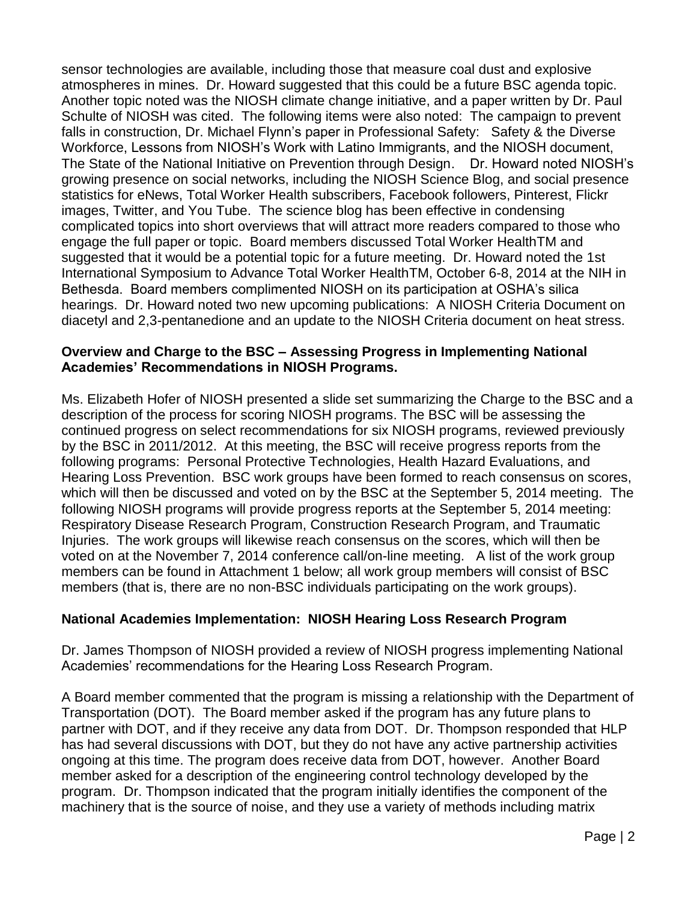sensor technologies are available, including those that measure coal dust and explosive atmospheres in mines. Dr. Howard suggested that this could be a future BSC agenda topic. Another topic noted was the NIOSH climate change initiative, and a paper written by Dr. Paul Schulte of NIOSH was cited. The following items were also noted: The campaign to prevent falls in construction, Dr. Michael Flynn's paper in Professional Safety: Safety & the Diverse Workforce, Lessons from NIOSH's Work with Latino Immigrants, and the NIOSH document, The State of the National Initiative on Prevention through Design. Dr. Howard noted NIOSH's growing presence on social networks, including the NIOSH Science Blog, and social presence statistics for eNews, Total Worker Health subscribers, Facebook followers, Pinterest, Flickr images, Twitter, and You Tube. The science blog has been effective in condensing complicated topics into short overviews that will attract more readers compared to those who engage the full paper or topic. Board members discussed Total Worker HealthTM and suggested that it would be a potential topic for a future meeting. Dr. Howard noted the 1st International Symposium to Advance Total Worker HealthTM, October 6-8, 2014 at the NIH in Bethesda. Board members complimented NIOSH on its participation at OSHA's silica hearings. Dr. Howard noted two new upcoming publications: A NIOSH Criteria Document on diacetyl and 2,3-pentanedione and an update to the NIOSH Criteria document on heat stress.

# **Overview and Charge to the BSC – Assessing Progress in Implementing National Academies' Recommendations in NIOSH Programs.**

Ms. Elizabeth Hofer of NIOSH presented a slide set summarizing the Charge to the BSC and a description of the process for scoring NIOSH programs. The BSC will be assessing the continued progress on select recommendations for six NIOSH programs, reviewed previously by the BSC in 2011/2012. At this meeting, the BSC will receive progress reports from the following programs: Personal Protective Technologies, Health Hazard Evaluations, and Hearing Loss Prevention. BSC work groups have been formed to reach consensus on scores, which will then be discussed and voted on by the BSC at the September 5, 2014 meeting. The following NIOSH programs will provide progress reports at the September 5, 2014 meeting: Respiratory Disease Research Program, Construction Research Program, and Traumatic Injuries. The work groups will likewise reach consensus on the scores, which will then be voted on at the November 7, 2014 conference call/on-line meeting. A list of the work group members can be found in Attachment 1 below; all work group members will consist of BSC members (that is, there are no non-BSC individuals participating on the work groups).

# **National Academies Implementation: NIOSH Hearing Loss Research Program**

Dr. James Thompson of NIOSH provided a review of NIOSH progress implementing National Academies' recommendations for the Hearing Loss Research Program.

A Board member commented that the program is missing a relationship with the Department of Transportation (DOT). The Board member asked if the program has any future plans to partner with DOT, and if they receive any data from DOT. Dr. Thompson responded that HLP has had several discussions with DOT, but they do not have any active partnership activities ongoing at this time. The program does receive data from DOT, however. Another Board member asked for a description of the engineering control technology developed by the program. Dr. Thompson indicated that the program initially identifies the component of the machinery that is the source of noise, and they use a variety of methods including matrix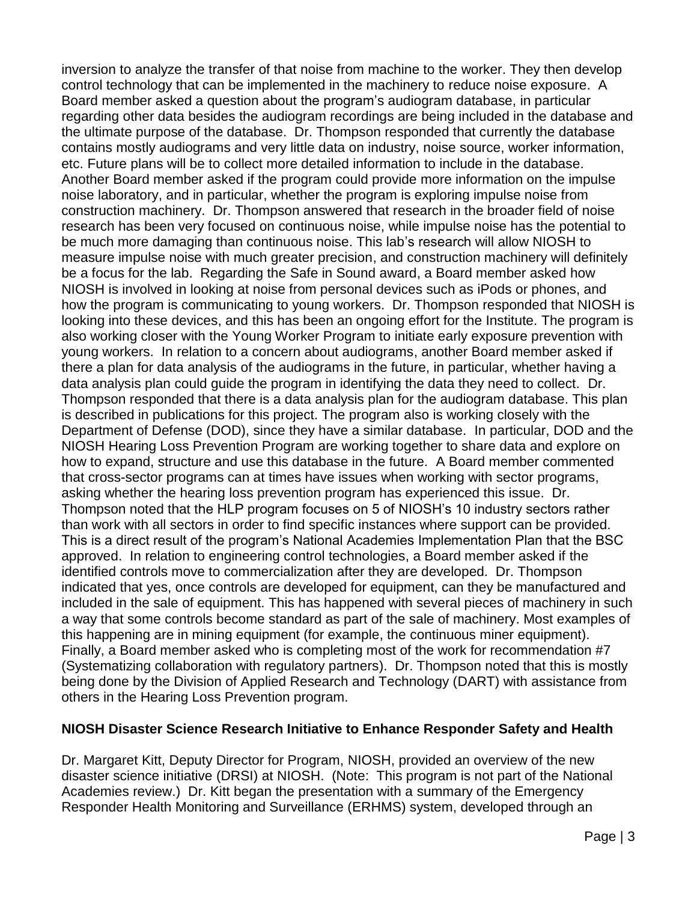inversion to analyze the transfer of that noise from machine to the worker. They then develop control technology that can be implemented in the machinery to reduce noise exposure. A Board member asked a question about the program's audiogram database, in particular regarding other data besides the audiogram recordings are being included in the database and the ultimate purpose of the database. Dr. Thompson responded that currently the database contains mostly audiograms and very little data on industry, noise source, worker information, etc. Future plans will be to collect more detailed information to include in the database. Another Board member asked if the program could provide more information on the impulse noise laboratory, and in particular, whether the program is exploring impulse noise from construction machinery. Dr. Thompson answered that research in the broader field of noise research has been very focused on continuous noise, while impulse noise has the potential to be much more damaging than continuous noise. This lab's research will allow NIOSH to measure impulse noise with much greater precision, and construction machinery will definitely be a focus for the lab. Regarding the Safe in Sound award, a Board member asked how NIOSH is involved in looking at noise from personal devices such as iPods or phones, and how the program is communicating to young workers. Dr. Thompson responded that NIOSH is looking into these devices, and this has been an ongoing effort for the Institute. The program is also working closer with the Young Worker Program to initiate early exposure prevention with young workers. In relation to a concern about audiograms, another Board member asked if there a plan for data analysis of the audiograms in the future, in particular, whether having a data analysis plan could guide the program in identifying the data they need to collect. Dr. Thompson responded that there is a data analysis plan for the audiogram database. This plan is described in publications for this project. The program also is working closely with the Department of Defense (DOD), since they have a similar database. In particular, DOD and the NIOSH Hearing Loss Prevention Program are working together to share data and explore on how to expand, structure and use this database in the future. A Board member commented that cross-sector programs can at times have issues when working with sector programs, asking whether the hearing loss prevention program has experienced this issue. Dr. Thompson noted that the HLP program focuses on 5 of NIOSH's 10 industry sectors rather than work with all sectors in order to find specific instances where support can be provided. This is a direct result of the program's National Academies Implementation Plan that the BSC approved. In relation to engineering control technologies, a Board member asked if the identified controls move to commercialization after they are developed. Dr. Thompson indicated that yes, once controls are developed for equipment, can they be manufactured and included in the sale of equipment. This has happened with several pieces of machinery in such a way that some controls become standard as part of the sale of machinery. Most examples of this happening are in mining equipment (for example, the continuous miner equipment). Finally, a Board member asked who is completing most of the work for recommendation #7 (Systematizing collaboration with regulatory partners). Dr. Thompson noted that this is mostly being done by the Division of Applied Research and Technology (DART) with assistance from others in the Hearing Loss Prevention program.

# **NIOSH Disaster Science Research Initiative to Enhance Responder Safety and Health**

Dr. Margaret Kitt, Deputy Director for Program, NIOSH, provided an overview of the new disaster science initiative (DRSI) at NIOSH. (Note: This program is not part of the National Academies review.) Dr. Kitt began the presentation with a summary of the Emergency Responder Health Monitoring and Surveillance (ERHMS) system, developed through an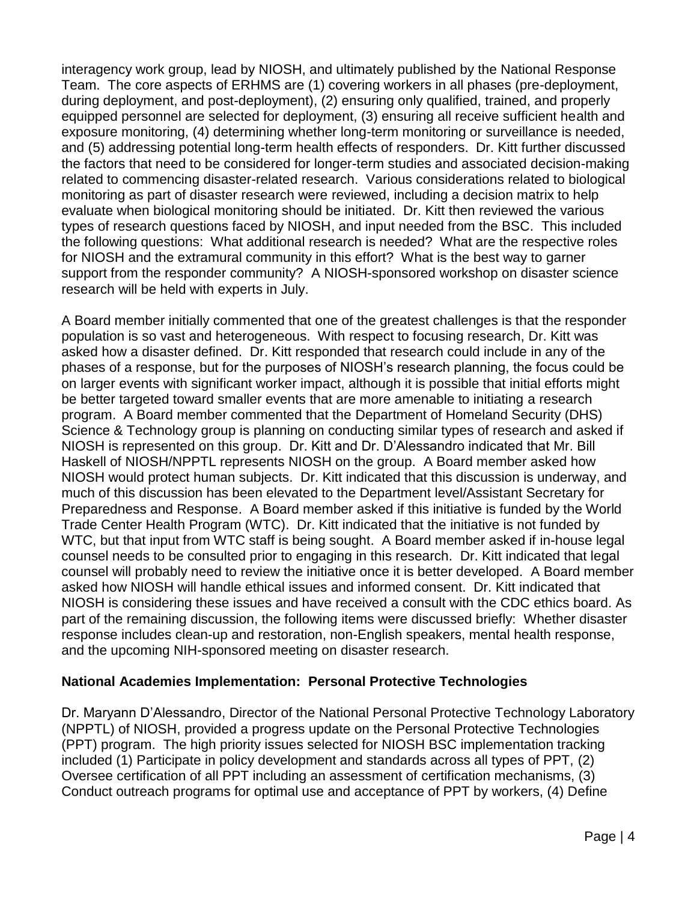interagency work group, lead by NIOSH, and ultimately published by the National Response Team. The core aspects of ERHMS are (1) covering workers in all phases (pre-deployment, during deployment, and post-deployment), (2) ensuring only qualified, trained, and properly equipped personnel are selected for deployment, (3) ensuring all receive sufficient health and exposure monitoring, (4) determining whether long-term monitoring or surveillance is needed, and (5) addressing potential long-term health effects of responders. Dr. Kitt further discussed the factors that need to be considered for longer-term studies and associated decision-making related to commencing disaster-related research. Various considerations related to biological monitoring as part of disaster research were reviewed, including a decision matrix to help evaluate when biological monitoring should be initiated. Dr. Kitt then reviewed the various types of research questions faced by NIOSH, and input needed from the BSC. This included the following questions: What additional research is needed? What are the respective roles for NIOSH and the extramural community in this effort? What is the best way to garner support from the responder community? A NIOSH-sponsored workshop on disaster science research will be held with experts in July.

A Board member initially commented that one of the greatest challenges is that the responder population is so vast and heterogeneous. With respect to focusing research, Dr. Kitt was asked how a disaster defined. Dr. Kitt responded that research could include in any of the phases of a response, but for the purposes of NIOSH's research planning, the focus could be on larger events with significant worker impact, although it is possible that initial efforts might be better targeted toward smaller events that are more amenable to initiating a research program. A Board member commented that the Department of Homeland Security (DHS) Science & Technology group is planning on conducting similar types of research and asked if NIOSH is represented on this group. Dr. Kitt and Dr. D'Alessandro indicated that Mr. Bill Haskell of NIOSH/NPPTL represents NIOSH on the group. A Board member asked how NIOSH would protect human subjects. Dr. Kitt indicated that this discussion is underway, and much of this discussion has been elevated to the Department level/Assistant Secretary for Preparedness and Response. A Board member asked if this initiative is funded by the World Trade Center Health Program (WTC). Dr. Kitt indicated that the initiative is not funded by WTC, but that input from WTC staff is being sought. A Board member asked if in-house legal counsel needs to be consulted prior to engaging in this research. Dr. Kitt indicated that legal counsel will probably need to review the initiative once it is better developed. A Board member asked how NIOSH will handle ethical issues and informed consent. Dr. Kitt indicated that NIOSH is considering these issues and have received a consult with the CDC ethics board. As part of the remaining discussion, the following items were discussed briefly: Whether disaster response includes clean-up and restoration, non-English speakers, mental health response, and the upcoming NIH-sponsored meeting on disaster research.

# **National Academies Implementation: Personal Protective Technologies**

Dr. Maryann D'Alessandro, Director of the National Personal Protective Technology Laboratory (NPPTL) of NIOSH, provided a progress update on the Personal Protective Technologies (PPT) program. The high priority issues selected for NIOSH BSC implementation tracking included (1) Participate in policy development and standards across all types of PPT, (2) Oversee certification of all PPT including an assessment of certification mechanisms, (3) Conduct outreach programs for optimal use and acceptance of PPT by workers, (4) Define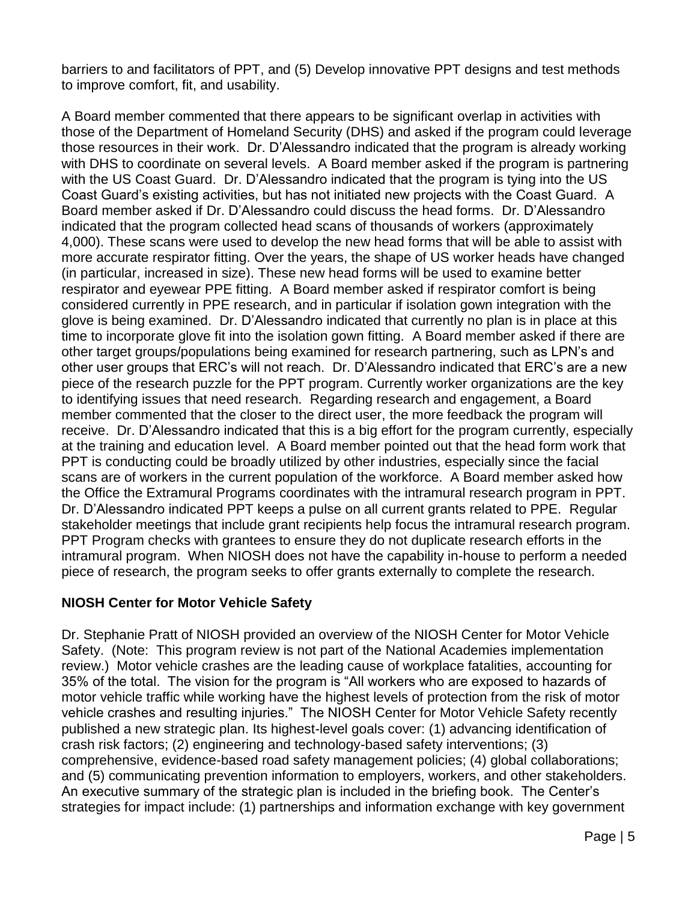barriers to and facilitators of PPT, and (5) Develop innovative PPT designs and test methods to improve comfort, fit, and usability.

A Board member commented that there appears to be significant overlap in activities with those of the Department of Homeland Security (DHS) and asked if the program could leverage those resources in their work. Dr. D'Alessandro indicated that the program is already working with DHS to coordinate on several levels. A Board member asked if the program is partnering with the US Coast Guard. Dr. D'Alessandro indicated that the program is tying into the US Coast Guard's existing activities, but has not initiated new projects with the Coast Guard. A Board member asked if Dr. D'Alessandro could discuss the head forms. Dr. D'Alessandro indicated that the program collected head scans of thousands of workers (approximately 4,000). These scans were used to develop the new head forms that will be able to assist with more accurate respirator fitting. Over the years, the shape of US worker heads have changed (in particular, increased in size). These new head forms will be used to examine better respirator and eyewear PPE fitting. A Board member asked if respirator comfort is being considered currently in PPE research, and in particular if isolation gown integration with the glove is being examined. Dr. D'Alessandro indicated that currently no plan is in place at this time to incorporate glove fit into the isolation gown fitting. A Board member asked if there are other target groups/populations being examined for research partnering, such as LPN's and other user groups that ERC's will not reach. Dr. D'Alessandro indicated that ERC's are a new piece of the research puzzle for the PPT program. Currently worker organizations are the key to identifying issues that need research. Regarding research and engagement, a Board member commented that the closer to the direct user, the more feedback the program will receive. Dr. D'Alessandro indicated that this is a big effort for the program currently, especially at the training and education level. A Board member pointed out that the head form work that PPT is conducting could be broadly utilized by other industries, especially since the facial scans are of workers in the current population of the workforce. A Board member asked how the Office the Extramural Programs coordinates with the intramural research program in PPT. Dr. D'Alessandro indicated PPT keeps a pulse on all current grants related to PPE. Regular stakeholder meetings that include grant recipients help focus the intramural research program. PPT Program checks with grantees to ensure they do not duplicate research efforts in the intramural program. When NIOSH does not have the capability in-house to perform a needed piece of research, the program seeks to offer grants externally to complete the research.

# **NIOSH Center for Motor Vehicle Safety**

Dr. Stephanie Pratt of NIOSH provided an overview of the NIOSH Center for Motor Vehicle Safety. (Note: This program review is not part of the National Academies implementation review.) Motor vehicle crashes are the leading cause of workplace fatalities, accounting for 35% of the total. The vision for the program is "All workers who are exposed to hazards of motor vehicle traffic while working have the highest levels of protection from the risk of motor vehicle crashes and resulting injuries." The NIOSH Center for Motor Vehicle Safety recently published a new strategic plan. Its highest-level goals cover: (1) advancing identification of crash risk factors; (2) engineering and technology-based safety interventions; (3) comprehensive, evidence-based road safety management policies; (4) global collaborations; and (5) communicating prevention information to employers, workers, and other stakeholders. An executive summary of the strategic plan is included in the briefing book. The Center's strategies for impact include: (1) partnerships and information exchange with key government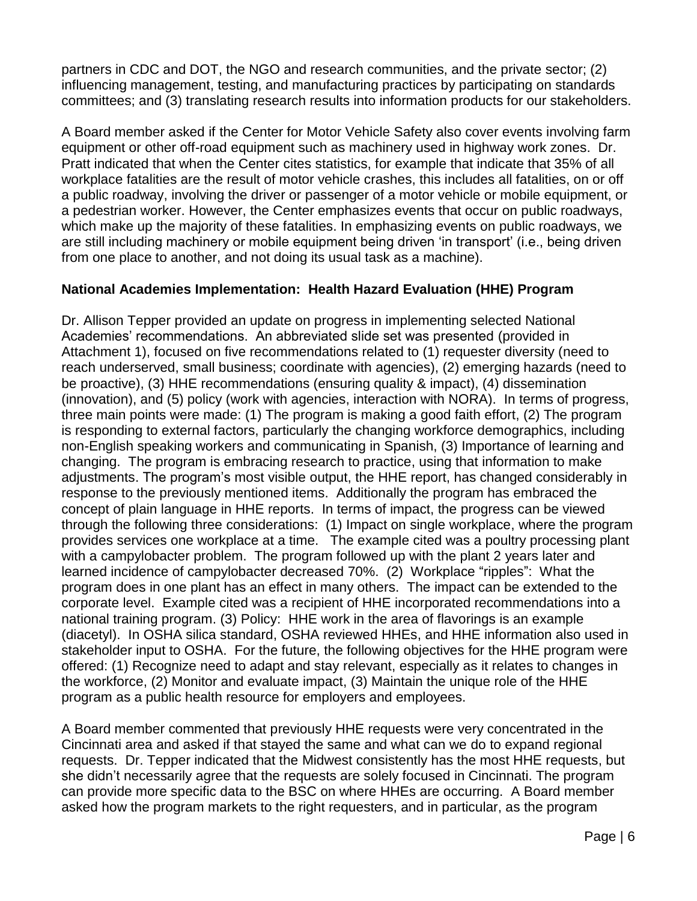partners in CDC and DOT, the NGO and research communities, and the private sector; (2) influencing management, testing, and manufacturing practices by participating on standards committees; and (3) translating research results into information products for our stakeholders.

A Board member asked if the Center for Motor Vehicle Safety also cover events involving farm equipment or other off-road equipment such as machinery used in highway work zones. Dr. Pratt indicated that when the Center cites statistics, for example that indicate that 35% of all workplace fatalities are the result of motor vehicle crashes, this includes all fatalities, on or off a public roadway, involving the driver or passenger of a motor vehicle or mobile equipment, or a pedestrian worker. However, the Center emphasizes events that occur on public roadways, which make up the majority of these fatalities. In emphasizing events on public roadways, we are still including machinery or mobile equipment being driven 'in transport' (i.e., being driven from one place to another, and not doing its usual task as a machine).

# **National Academies Implementation: Health Hazard Evaluation (HHE) Program**

Dr. Allison Tepper provided an update on progress in implementing selected National Academies' recommendations. An abbreviated slide set was presented (provided in Attachment 1), focused on five recommendations related to (1) requester diversity (need to reach underserved, small business; coordinate with agencies), (2) emerging hazards (need to be proactive), (3) HHE recommendations (ensuring quality & impact), (4) dissemination (innovation), and (5) policy (work with agencies, interaction with NORA). In terms of progress, three main points were made: (1) The program is making a good faith effort, (2) The program is responding to external factors, particularly the changing workforce demographics, including non-English speaking workers and communicating in Spanish, (3) Importance of learning and changing. The program is embracing research to practice, using that information to make adjustments. The program's most visible output, the HHE report, has changed considerably in response to the previously mentioned items. Additionally the program has embraced the concept of plain language in HHE reports. In terms of impact, the progress can be viewed through the following three considerations: (1) Impact on single workplace, where the program provides services one workplace at a time. The example cited was a poultry processing plant with a campylobacter problem. The program followed up with the plant 2 years later and learned incidence of campylobacter decreased 70%. (2) Workplace "ripples": What the program does in one plant has an effect in many others. The impact can be extended to the corporate level. Example cited was a recipient of HHE incorporated recommendations into a national training program. (3) Policy: HHE work in the area of flavorings is an example (diacetyl). In OSHA silica standard, OSHA reviewed HHEs, and HHE information also used in stakeholder input to OSHA. For the future, the following objectives for the HHE program were offered: (1) Recognize need to adapt and stay relevant, especially as it relates to changes in the workforce, (2) Monitor and evaluate impact, (3) Maintain the unique role of the HHE program as a public health resource for employers and employees.

A Board member commented that previously HHE requests were very concentrated in the Cincinnati area and asked if that stayed the same and what can we do to expand regional requests. Dr. Tepper indicated that the Midwest consistently has the most HHE requests, but she didn't necessarily agree that the requests are solely focused in Cincinnati. The program can provide more specific data to the BSC on where HHEs are occurring. A Board member asked how the program markets to the right requesters, and in particular, as the program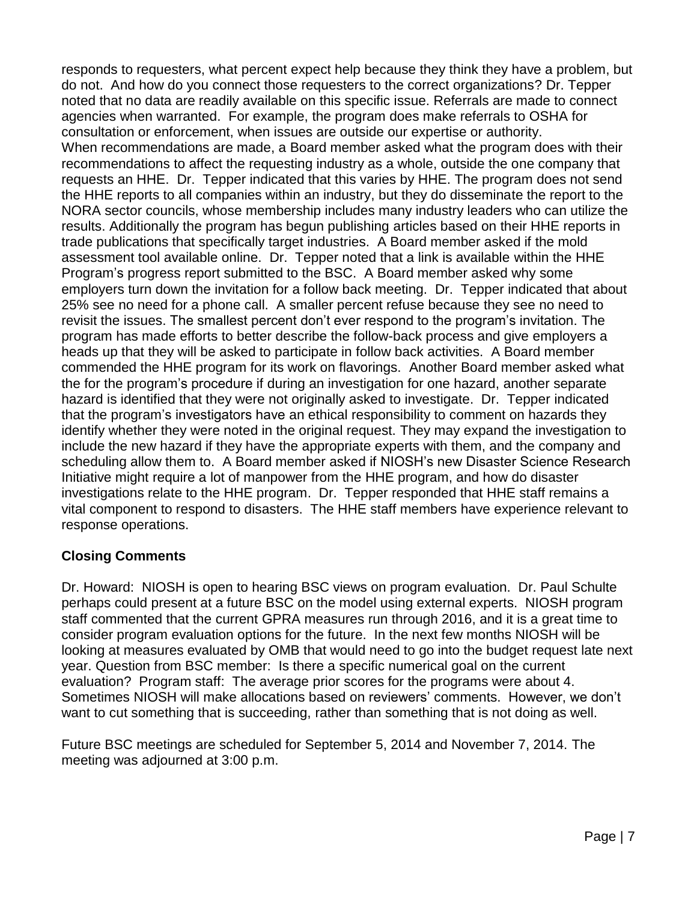responds to requesters, what percent expect help because they think they have a problem, but do not. And how do you connect those requesters to the correct organizations? Dr. Tepper noted that no data are readily available on this specific issue. Referrals are made to connect agencies when warranted. For example, the program does make referrals to OSHA for consultation or enforcement, when issues are outside our expertise or authority. When recommendations are made, a Board member asked what the program does with their recommendations to affect the requesting industry as a whole, outside the one company that requests an HHE. Dr. Tepper indicated that this varies by HHE. The program does not send the HHE reports to all companies within an industry, but they do disseminate the report to the NORA sector councils, whose membership includes many industry leaders who can utilize the results. Additionally the program has begun publishing articles based on their HHE reports in trade publications that specifically target industries. A Board member asked if the mold assessment tool available online. Dr. Tepper noted that a link is available within the HHE Program's progress report submitted to the BSC. A Board member asked why some employers turn down the invitation for a follow back meeting. Dr. Tepper indicated that about 25% see no need for a phone call. A smaller percent refuse because they see no need to revisit the issues. The smallest percent don't ever respond to the program's invitation. The program has made efforts to better describe the follow-back process and give employers a heads up that they will be asked to participate in follow back activities. A Board member commended the HHE program for its work on flavorings. Another Board member asked what the for the program's procedure if during an investigation for one hazard, another separate hazard is identified that they were not originally asked to investigate. Dr. Tepper indicated that the program's investigators have an ethical responsibility to comment on hazards they identify whether they were noted in the original request. They may expand the investigation to include the new hazard if they have the appropriate experts with them, and the company and scheduling allow them to. A Board member asked if NIOSH's new Disaster Science Research Initiative might require a lot of manpower from the HHE program, and how do disaster investigations relate to the HHE program. Dr. Tepper responded that HHE staff remains a vital component to respond to disasters. The HHE staff members have experience relevant to response operations.

# **Closing Comments**

Dr. Howard: NIOSH is open to hearing BSC views on program evaluation. Dr. Paul Schulte perhaps could present at a future BSC on the model using external experts. NIOSH program staff commented that the current GPRA measures run through 2016, and it is a great time to consider program evaluation options for the future. In the next few months NIOSH will be looking at measures evaluated by OMB that would need to go into the budget request late next year. Question from BSC member: Is there a specific numerical goal on the current evaluation? Program staff: The average prior scores for the programs were about 4. Sometimes NIOSH will make allocations based on reviewers' comments. However, we don't want to cut something that is succeeding, rather than something that is not doing as well.

Future BSC meetings are scheduled for September 5, 2014 and November 7, 2014. The meeting was adjourned at 3:00 p.m.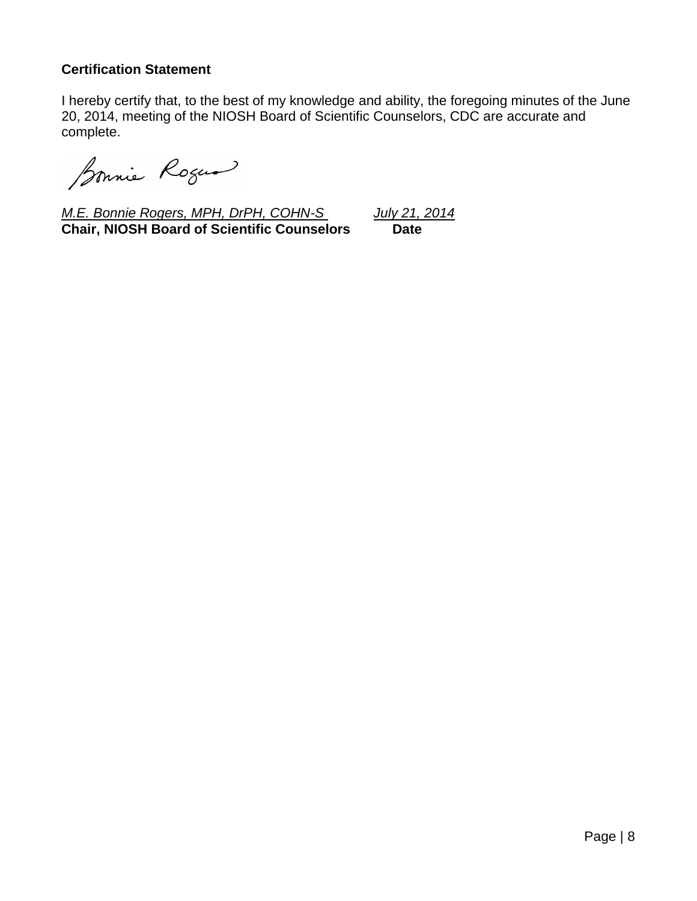# **Certification Statement**

I hereby certify that, to the best of my knowledge and ability, the foregoing minutes of the June 20, 2014, meeting of the NIOSH Board of Scientific Counselors, CDC are accurate and complete.

Sonnie Roger

*M.E. Bonnie Rogers, MPH, DrPH, COHN-S July 21, 2014* **Chair, NIOSH Board of Scientific Counselors Date**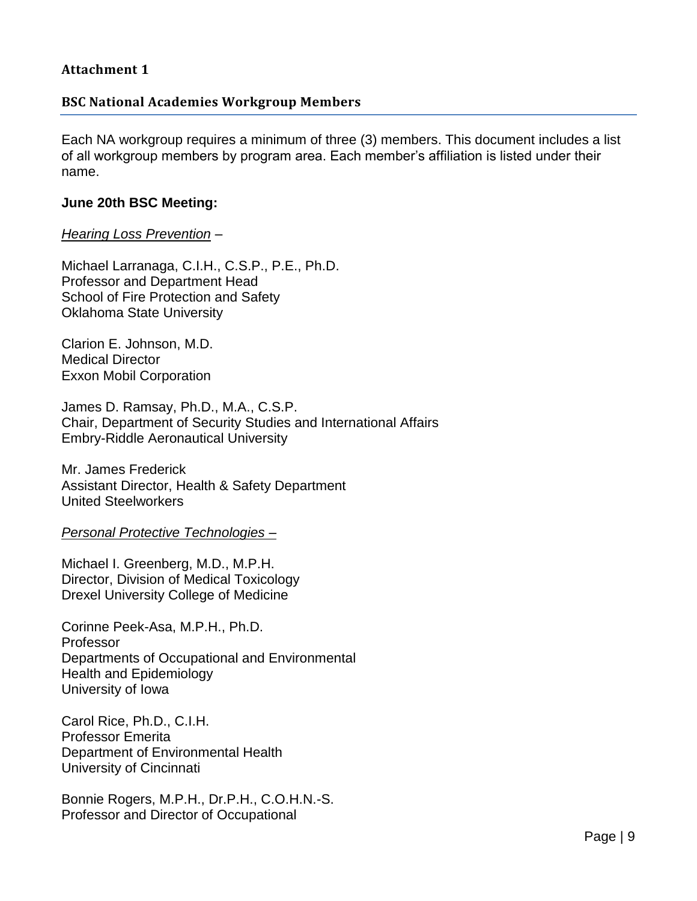# **Attachment 1**

# **BSC National Academies Workgroup Members**

Each NA workgroup requires a minimum of three (3) members. This document includes a list of all workgroup members by program area. Each member's affiliation is listed under their name.

#### **June 20th BSC Meeting:**

### *Hearing Loss Prevention* –

Michael Larranaga, C.I.H., C.S.P., P.E., Ph.D. Professor and Department Head School of Fire Protection and Safety Oklahoma State University

Clarion E. Johnson, M.D. Medical Director Exxon Mobil Corporation

James D. Ramsay, Ph.D., M.A., C.S.P. Chair, Department of Security Studies and International Affairs Embry-Riddle Aeronautical University

Mr. James Frederick Assistant Director, Health & Safety Department United Steelworkers

*Personal Protective Technologies –*

Michael I. Greenberg, M.D., M.P.H. Director, Division of Medical Toxicology Drexel University College of Medicine

Corinne Peek-Asa, M.P.H., Ph.D. Professor Departments of Occupational and Environmental Health and Epidemiology University of Iowa

Carol Rice, Ph.D., C.I.H. Professor Emerita Department of Environmental Health University of Cincinnati

Bonnie Rogers, M.P.H., Dr.P.H., C.O.H.N.-S. Professor and Director of Occupational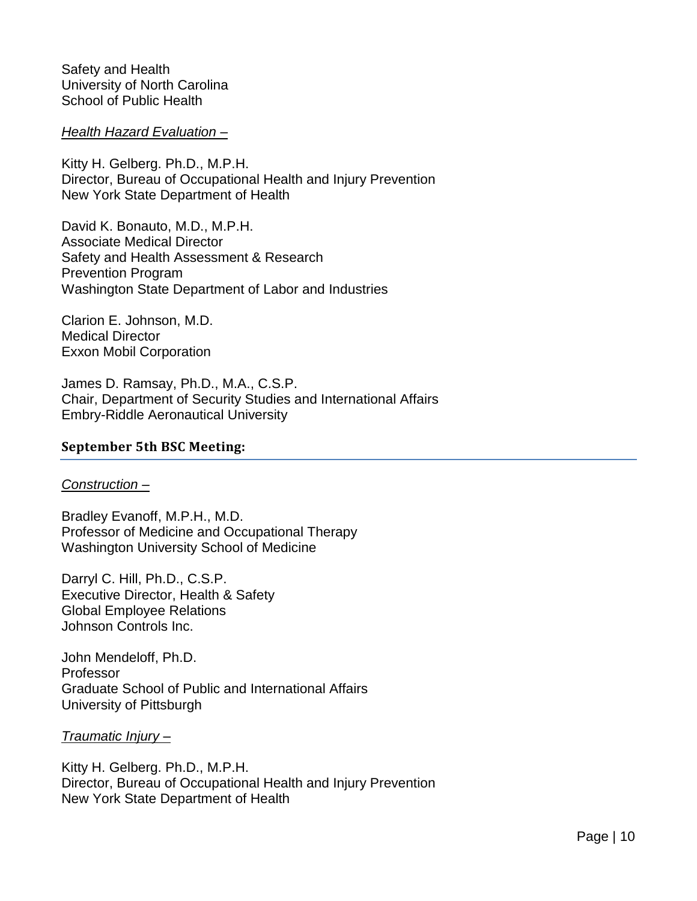Safety and Health University of North Carolina School of Public Health

*Health Hazard Evaluation –*

Kitty H. Gelberg. Ph.D., M.P.H. Director, Bureau of Occupational Health and Injury Prevention New York State Department of Health

David K. Bonauto, M.D., M.P.H. Associate Medical Director Safety and Health Assessment & Research Prevention Program Washington State Department of Labor and Industries

Clarion E. Johnson, M.D. Medical Director Exxon Mobil Corporation

James D. Ramsay, Ph.D., M.A., C.S.P. Chair, Department of Security Studies and International Affairs Embry-Riddle Aeronautical University

# **September 5th BSC Meeting:**

#### *Construction –*

Bradley Evanoff, M.P.H., M.D. Professor of Medicine and Occupational Therapy Washington University School of Medicine

Darryl C. Hill, Ph.D., C.S.P. Executive Director, Health & Safety Global Employee Relations Johnson Controls Inc.

John Mendeloff, Ph.D. Professor Graduate School of Public and International Affairs University of Pittsburgh

*Traumatic Injury –*

Kitty H. Gelberg. Ph.D., M.P.H. Director, Bureau of Occupational Health and Injury Prevention New York State Department of Health